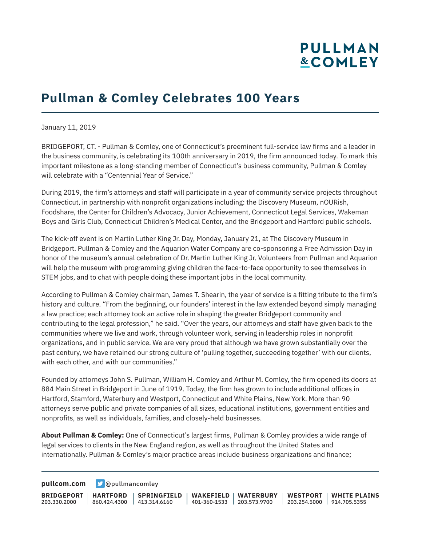## **PULLMAN &COMLEY**

## **Pullman & Comley Celebrates 100 Years**

January 11, 2019

BRIDGEPORT, CT. - Pullman & Comley, one of Connecticut's preeminent full-service law firms and a leader in the business community, is celebrating its 100th anniversary in 2019, the firm announced today. To mark this important milestone as a long-standing member of Connecticut's business community, Pullman & Comley will celebrate with a "Centennial Year of Service."

During 2019, the firm's attorneys and staff will participate in a year of community service projects throughout Connecticut, in partnership with nonprofit organizations including: the Discovery Museum, nOURish, Foodshare, the Center for Children's Advocacy, Junior Achievement, Connecticut Legal Services, Wakeman Boys and Girls Club, Connecticut Children's Medical Center, and the Bridgeport and Hartford public schools.

The kick-off event is on Martin Luther King Jr. Day, Monday, January 21, at The Discovery Museum in Bridgeport. Pullman & Comley and the Aquarion Water Company are co-sponsoring a Free Admission Day in honor of the museum's annual celebration of Dr. Martin Luther King Jr. Volunteers from Pullman and Aquarion will help the museum with programming giving children the face-to-face opportunity to see themselves in STEM jobs, and to chat with people doing these important jobs in the local community.

According to Pullman & Comley chairman, James T. Shearin, the year of service is a fitting tribute to the firm's history and culture. "From the beginning, our founders' interest in the law extended beyond simply managing a law practice; each attorney took an active role in shaping the greater Bridgeport community and contributing to the legal profession," he said. "Over the years, our attorneys and staff have given back to the communities where we live and work, through volunteer work, serving in leadership roles in nonprofit organizations, and in public service. We are very proud that although we have grown substantially over the past century, we have retained our strong culture of 'pulling together, succeeding together' with our clients, with each other, and with our communities."

Founded by attorneys John S. Pullman, William H. Comley and Arthur M. Comley, the firm opened its doors at 884 Main Street in Bridgeport in June of 1919. Today, the firm has grown to include additional offices in Hartford, Stamford, Waterbury and Westport, Connecticut and White Plains, New York. More than 90 attorneys serve public and private companies of all sizes, educational institutions, government entities and nonprofits, as well as individuals, families, and closely-held businesses.

**About Pullman & Comley:** One of Connecticut's largest firms, Pullman & Comley provides a wide range of legal services to clients in the New England region, as well as throughout the United States and internationally. Pullman & Comley's major practice areas include business organizations and finance;

**[pullcom.com](https://www.pullcom.com) g** [@pullmancomley](https://twitter.com/PullmanComley)

**BRIDGEPORT HARTFORD** 203.330.2000 860.424.4300 413.314.6160 **SPRINGFIELD WAKEFIELD WATERBURY** 401-360-1533 203.573.9700 **WESTPORT WHITE PLAINS** 203.254.5000 914.705.5355